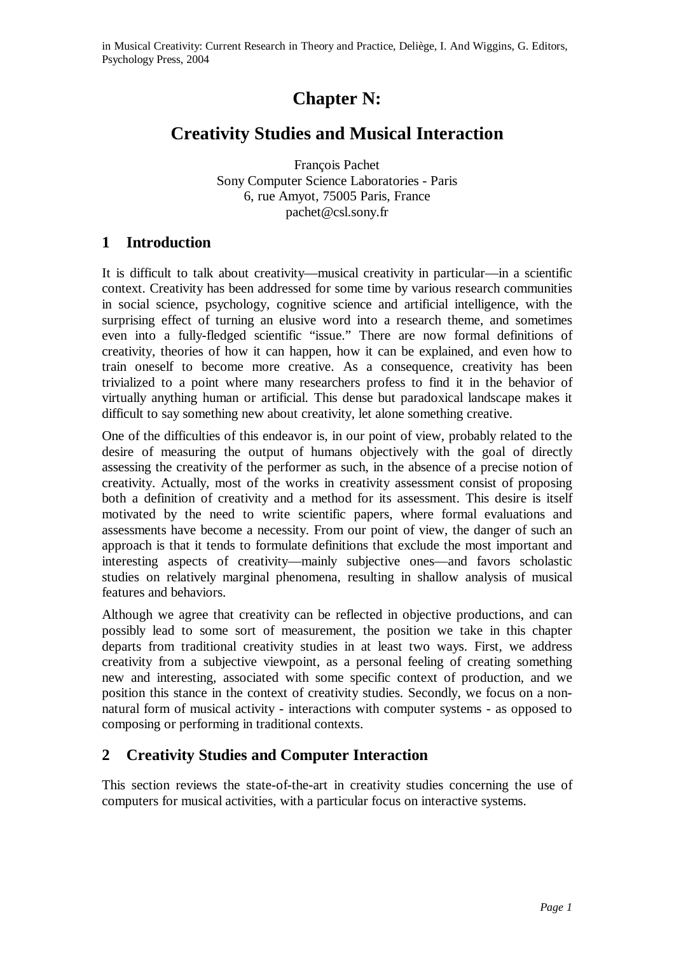# **Chapter N:**

## **Creativity Studies and Musical Interaction**

François Pachet Sony Computer Science Laboratories - Paris 6, rue Amyot, 75005 Paris, France pachet@csl.sony.fr

## **1 Introduction**

It is difficult to talk about creativity—musical creativity in particular—in a scientific context. Creativity has been addressed for some time by various research communities in social science, psychology, cognitive science and artificial intelligence, with the surprising effect of turning an elusive word into a research theme, and sometimes even into a fully-fledged scientific "issue." There are now formal definitions of creativity, theories of how it can happen, how it can be explained, and even how to train oneself to become more creative. As a consequence, creativity has been trivialized to a point where many researchers profess to find it in the behavior of virtually anything human or artificial. This dense but paradoxical landscape makes it difficult to say something new about creativity, let alone something creative.

One of the difficulties of this endeavor is, in our point of view, probably related to the desire of measuring the output of humans objectively with the goal of directly assessing the creativity of the performer as such, in the absence of a precise notion of creativity. Actually, most of the works in creativity assessment consist of proposing both a definition of creativity and a method for its assessment. This desire is itself motivated by the need to write scientific papers, where formal evaluations and assessments have become a necessity. From our point of view, the danger of such an approach is that it tends to formulate definitions that exclude the most important and interesting aspects of creativity—mainly subjective ones—and favors scholastic studies on relatively marginal phenomena, resulting in shallow analysis of musical features and behaviors.

Although we agree that creativity can be reflected in objective productions, and can possibly lead to some sort of measurement, the position we take in this chapter departs from traditional creativity studies in at least two ways. First, we address creativity from a subjective viewpoint, as a personal feeling of creating something new and interesting, associated with some specific context of production, and we position this stance in the context of creativity studies. Secondly, we focus on a nonnatural form of musical activity - interactions with computer systems - as opposed to composing or performing in traditional contexts.

## **2 Creativity Studies and Computer Interaction**

This section reviews the state-of-the-art in creativity studies concerning the use of computers for musical activities, with a particular focus on interactive systems.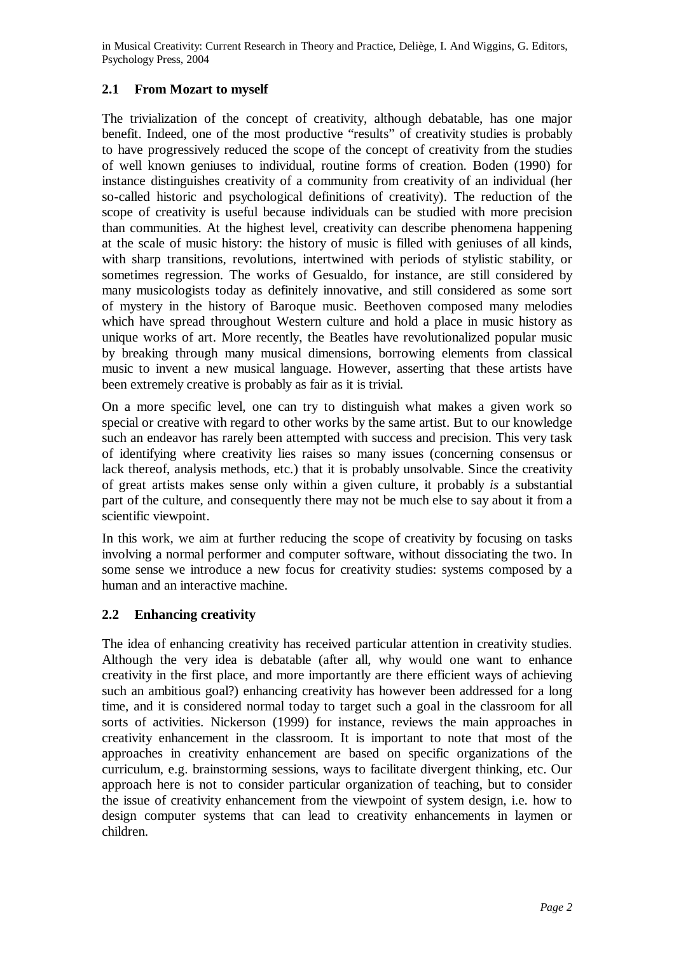#### **2.1 From Mozart to myself**

The trivialization of the concept of creativity, although debatable, has one major benefit. Indeed, one of the most productive "results" of creativity studies is probably to have progressively reduced the scope of the concept of creativity from the studies of well known geniuses to individual, routine forms of creation. Boden (1990) for instance distinguishes creativity of a community from creativity of an individual (her so-called historic and psychological definitions of creativity). The reduction of the scope of creativity is useful because individuals can be studied with more precision than communities. At the highest level, creativity can describe phenomena happening at the scale of music history: the history of music is filled with geniuses of all kinds, with sharp transitions, revolutions, intertwined with periods of stylistic stability, or sometimes regression. The works of Gesualdo, for instance, are still considered by many musicologists today as definitely innovative, and still considered as some sort of mystery in the history of Baroque music. Beethoven composed many melodies which have spread throughout Western culture and hold a place in music history as unique works of art. More recently, the Beatles have revolutionalized popular music by breaking through many musical dimensions, borrowing elements from classical music to invent a new musical language. However, asserting that these artists have been extremely creative is probably as fair as it is trivial.

On a more specific level, one can try to distinguish what makes a given work so special or creative with regard to other works by the same artist. But to our knowledge such an endeavor has rarely been attempted with success and precision. This very task of identifying where creativity lies raises so many issues (concerning consensus or lack thereof, analysis methods, etc.) that it is probably unsolvable. Since the creativity of great artists makes sense only within a given culture, it probably *is* a substantial part of the culture, and consequently there may not be much else to say about it from a scientific viewpoint.

In this work, we aim at further reducing the scope of creativity by focusing on tasks involving a normal performer and computer software, without dissociating the two. In some sense we introduce a new focus for creativity studies: systems composed by a human and an interactive machine.

#### **2.2 Enhancing creativity**

The idea of enhancing creativity has received particular attention in creativity studies. Although the very idea is debatable (after all, why would one want to enhance creativity in the first place, and more importantly are there efficient ways of achieving such an ambitious goal?) enhancing creativity has however been addressed for a long time, and it is considered normal today to target such a goal in the classroom for all sorts of activities. Nickerson (1999) for instance, reviews the main approaches in creativity enhancement in the classroom. It is important to note that most of the approaches in creativity enhancement are based on specific organizations of the curriculum, e.g. brainstorming sessions, ways to facilitate divergent thinking, etc. Our approach here is not to consider particular organization of teaching, but to consider the issue of creativity enhancement from the viewpoint of system design, i.e. how to design computer systems that can lead to creativity enhancements in laymen or children.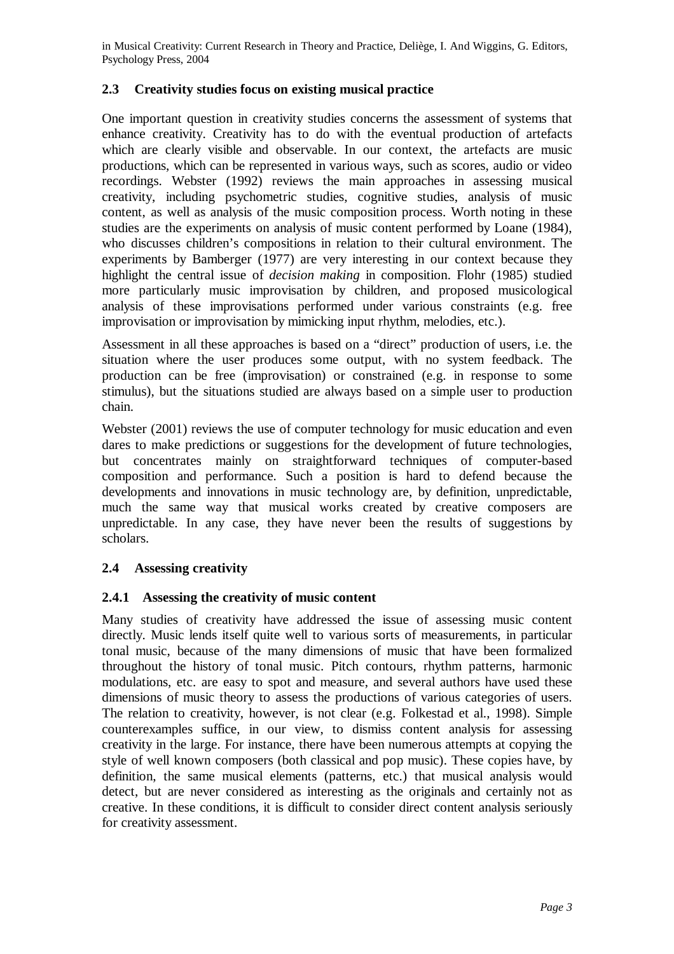#### **2.3 Creativity studies focus on existing musical practice**

One important question in creativity studies concerns the assessment of systems that enhance creativity. Creativity has to do with the eventual production of artefacts which are clearly visible and observable. In our context, the artefacts are music productions, which can be represented in various ways, such as scores, audio or video recordings. Webster (1992) reviews the main approaches in assessing musical creativity, including psychometric studies, cognitive studies, analysis of music content, as well as analysis of the music composition process. Worth noting in these studies are the experiments on analysis of music content performed by Loane (1984), who discusses children's compositions in relation to their cultural environment. The experiments by Bamberger (1977) are very interesting in our context because they highlight the central issue of *decision making* in composition. Flohr (1985) studied more particularly music improvisation by children, and proposed musicological analysis of these improvisations performed under various constraints (e.g. free improvisation or improvisation by mimicking input rhythm, melodies, etc.).

Assessment in all these approaches is based on a "direct" production of users, i.e. the situation where the user produces some output, with no system feedback. The production can be free (improvisation) or constrained (e.g. in response to some stimulus), but the situations studied are always based on a simple user to production chain.

Webster (2001) reviews the use of computer technology for music education and even dares to make predictions or suggestions for the development of future technologies, but concentrates mainly on straightforward techniques of computer-based composition and performance. Such a position is hard to defend because the developments and innovations in music technology are, by definition, unpredictable, much the same way that musical works created by creative composers are unpredictable. In any case, they have never been the results of suggestions by scholars.

#### **2.4 Assessing creativity**

#### **2.4.1 Assessing the creativity of music content**

Many studies of creativity have addressed the issue of assessing music content directly. Music lends itself quite well to various sorts of measurements, in particular tonal music, because of the many dimensions of music that have been formalized throughout the history of tonal music. Pitch contours, rhythm patterns, harmonic modulations, etc. are easy to spot and measure, and several authors have used these dimensions of music theory to assess the productions of various categories of users. The relation to creativity, however, is not clear (e.g. Folkestad et al., 1998). Simple counterexamples suffice, in our view, to dismiss content analysis for assessing creativity in the large. For instance, there have been numerous attempts at copying the style of well known composers (both classical and pop music). These copies have, by definition, the same musical elements (patterns, etc.) that musical analysis would detect, but are never considered as interesting as the originals and certainly not as creative. In these conditions, it is difficult to consider direct content analysis seriously for creativity assessment.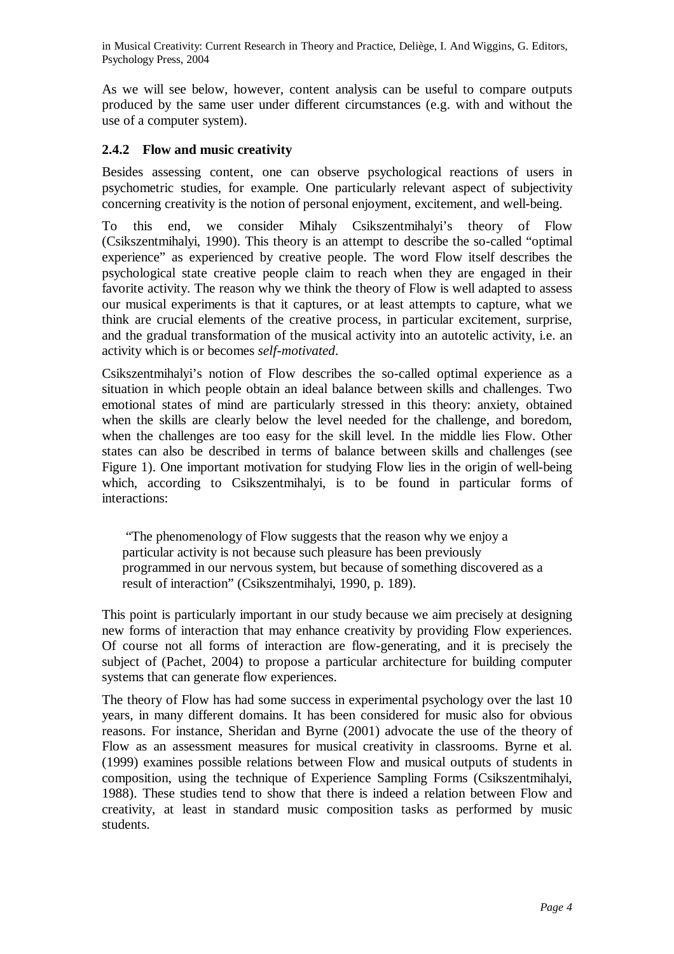As we will see below, however, content analysis can be useful to compare outputs produced by the same user under different circumstances (e.g. with and without the use of a computer system).

#### **2.4.2 Flow and music creativity**

Besides assessing content, one can observe psychological reactions of users in psychometric studies, for example. One particularly relevant aspect of subjectivity concerning creativity is the notion of personal enjoyment, excitement, and well-being.

To this end, we consider Mihaly Csikszentmihalyi's theory of Flow (Csikszentmihalyi, 1990). This theory is an attempt to describe the so-called "optimal experience" as experienced by creative people. The word Flow itself describes the psychological state creative people claim to reach when they are engaged in their favorite activity. The reason why we think the theory of Flow is well adapted to assess our musical experiments is that it captures, or at least attempts to capture, what we think are crucial elements of the creative process, in particular excitement, surprise, and the gradual transformation of the musical activity into an autotelic activity, i.e. an activity which is or becomes *self-motivated*.

Csikszentmihalyi's notion of Flow describes the so-called optimal experience as a situation in which people obtain an ideal balance between skills and challenges. Two emotional states of mind are particularly stressed in this theory: anxiety, obtained when the skills are clearly below the level needed for the challenge, and boredom, when the challenges are too easy for the skill level. In the middle lies Flow. Other states can also be described in terms of balance between skills and challenges (see Figure 1). One important motivation for studying Flow lies in the origin of well-being which, according to Csikszentmihalyi, is to be found in particular forms of interactions:

 "The phenomenology of Flow suggests that the reason why we enjoy a particular activity is not because such pleasure has been previously programmed in our nervous system, but because of something discovered as a result of interaction" (Csikszentmihalyi, 1990, p. 189).

This point is particularly important in our study because we aim precisely at designing new forms of interaction that may enhance creativity by providing Flow experiences. Of course not all forms of interaction are flow-generating, and it is precisely the subject of (Pachet, 2004) to propose a particular architecture for building computer systems that can generate flow experiences.

The theory of Flow has had some success in experimental psychology over the last 10 years, in many different domains. It has been considered for music also for obvious reasons. For instance, Sheridan and Byrne (2001) advocate the use of the theory of Flow as an assessment measures for musical creativity in classrooms. Byrne et al. (1999) examines possible relations between Flow and musical outputs of students in composition, using the technique of Experience Sampling Forms (Csikszentmihalyi, 1988). These studies tend to show that there is indeed a relation between Flow and creativity, at least in standard music composition tasks as performed by music students.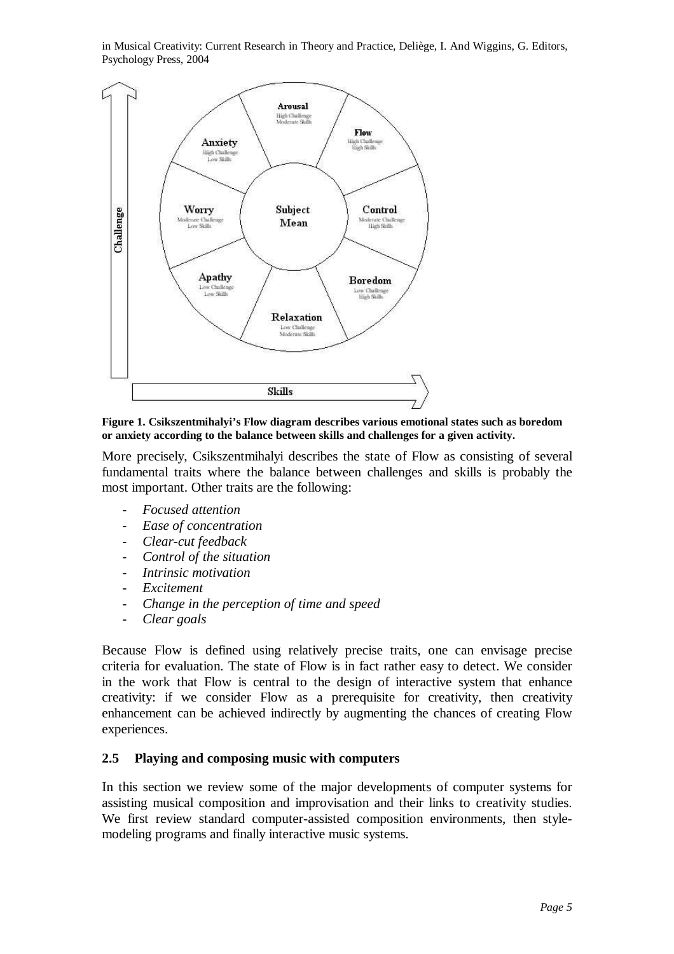

**Figure 1. Csikszentmihalyi's Flow diagram describes various emotional states such as boredom or anxiety according to the balance between skills and challenges for a given activity.** 

More precisely, Csikszentmihalyi describes the state of Flow as consisting of several fundamental traits where the balance between challenges and skills is probably the most important. Other traits are the following:

- *Focused attention*
- *Ease of concentration*
- *Clear-cut feedback*
- *Control of the situation*
- *Intrinsic motivation*
- *Excitement*
- *Change in the perception of time and speed*
- *Clear goals*

Because Flow is defined using relatively precise traits, one can envisage precise criteria for evaluation. The state of Flow is in fact rather easy to detect. We consider in the work that Flow is central to the design of interactive system that enhance creativity: if we consider Flow as a prerequisite for creativity, then creativity enhancement can be achieved indirectly by augmenting the chances of creating Flow experiences.

#### **2.5 Playing and composing music with computers**

In this section we review some of the major developments of computer systems for assisting musical composition and improvisation and their links to creativity studies. We first review standard computer-assisted composition environments, then stylemodeling programs and finally interactive music systems.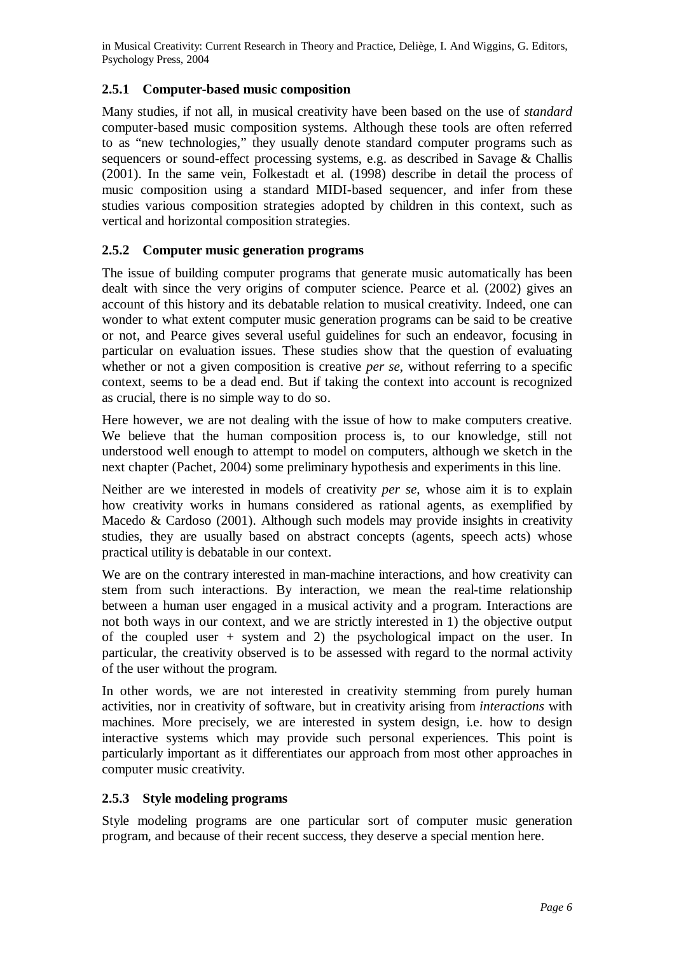#### **2.5.1 Computer-based music composition**

Many studies, if not all, in musical creativity have been based on the use of *standard* computer-based music composition systems. Although these tools are often referred to as "new technologies," they usually denote standard computer programs such as sequencers or sound-effect processing systems, e.g. as described in Savage & Challis (2001). In the same vein, Folkestadt et al. (1998) describe in detail the process of music composition using a standard MIDI-based sequencer, and infer from these studies various composition strategies adopted by children in this context, such as vertical and horizontal composition strategies.

#### **2.5.2 Computer music generation programs**

The issue of building computer programs that generate music automatically has been dealt with since the very origins of computer science. Pearce et al. (2002) gives an account of this history and its debatable relation to musical creativity. Indeed, one can wonder to what extent computer music generation programs can be said to be creative or not, and Pearce gives several useful guidelines for such an endeavor, focusing in particular on evaluation issues. These studies show that the question of evaluating whether or not a given composition is creative *per se*, without referring to a specific context, seems to be a dead end. But if taking the context into account is recognized as crucial, there is no simple way to do so.

Here however, we are not dealing with the issue of how to make computers creative. We believe that the human composition process is, to our knowledge, still not understood well enough to attempt to model on computers, although we sketch in the next chapter (Pachet, 2004) some preliminary hypothesis and experiments in this line.

Neither are we interested in models of creativity *per se*, whose aim it is to explain how creativity works in humans considered as rational agents, as exemplified by Macedo & Cardoso (2001). Although such models may provide insights in creativity studies, they are usually based on abstract concepts (agents, speech acts) whose practical utility is debatable in our context.

We are on the contrary interested in man-machine interactions, and how creativity can stem from such interactions. By interaction, we mean the real-time relationship between a human user engaged in a musical activity and a program. Interactions are not both ways in our context, and we are strictly interested in 1) the objective output of the coupled user + system and 2) the psychological impact on the user. In particular, the creativity observed is to be assessed with regard to the normal activity of the user without the program.

In other words, we are not interested in creativity stemming from purely human activities, nor in creativity of software, but in creativity arising from *interactions* with machines. More precisely, we are interested in system design, i.e. how to design interactive systems which may provide such personal experiences. This point is particularly important as it differentiates our approach from most other approaches in computer music creativity.

#### **2.5.3 Style modeling programs**

Style modeling programs are one particular sort of computer music generation program, and because of their recent success, they deserve a special mention here.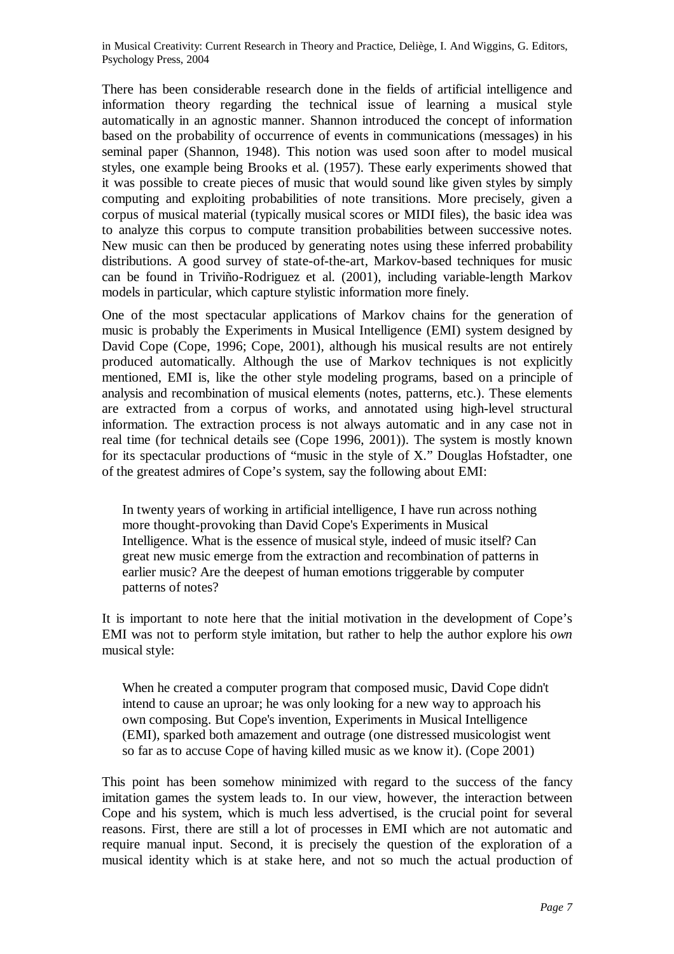There has been considerable research done in the fields of artificial intelligence and information theory regarding the technical issue of learning a musical style automatically in an agnostic manner. Shannon introduced the concept of information based on the probability of occurrence of events in communications (messages) in his seminal paper (Shannon, 1948). This notion was used soon after to model musical styles, one example being Brooks et al. (1957). These early experiments showed that it was possible to create pieces of music that would sound like given styles by simply computing and exploiting probabilities of note transitions. More precisely, given a corpus of musical material (typically musical scores or MIDI files), the basic idea was to analyze this corpus to compute transition probabilities between successive notes. New music can then be produced by generating notes using these inferred probability distributions. A good survey of state-of-the-art, Markov-based techniques for music can be found in Triviño-Rodriguez et al. (2001), including variable-length Markov models in particular, which capture stylistic information more finely.

One of the most spectacular applications of Markov chains for the generation of music is probably the Experiments in Musical Intelligence (EMI) system designed by David Cope (Cope, 1996; Cope, 2001), although his musical results are not entirely produced automatically. Although the use of Markov techniques is not explicitly mentioned, EMI is, like the other style modeling programs, based on a principle of analysis and recombination of musical elements (notes, patterns, etc.). These elements are extracted from a corpus of works, and annotated using high-level structural information. The extraction process is not always automatic and in any case not in real time (for technical details see (Cope 1996, 2001)). The system is mostly known for its spectacular productions of "music in the style of X." Douglas Hofstadter, one of the greatest admires of Cope's system, say the following about EMI:

In twenty years of working in artificial intelligence, I have run across nothing more thought-provoking than David Cope's Experiments in Musical Intelligence. What is the essence of musical style, indeed of music itself? Can great new music emerge from the extraction and recombination of patterns in earlier music? Are the deepest of human emotions triggerable by computer patterns of notes?

It is important to note here that the initial motivation in the development of Cope's EMI was not to perform style imitation, but rather to help the author explore his *own* musical style:

When he created a computer program that composed music, David Cope didn't intend to cause an uproar; he was only looking for a new way to approach his own composing. But Cope's invention, Experiments in Musical Intelligence (EMI), sparked both amazement and outrage (one distressed musicologist went so far as to accuse Cope of having killed music as we know it). (Cope 2001)

This point has been somehow minimized with regard to the success of the fancy imitation games the system leads to. In our view, however, the interaction between Cope and his system, which is much less advertised, is the crucial point for several reasons. First, there are still a lot of processes in EMI which are not automatic and require manual input. Second, it is precisely the question of the exploration of a musical identity which is at stake here, and not so much the actual production of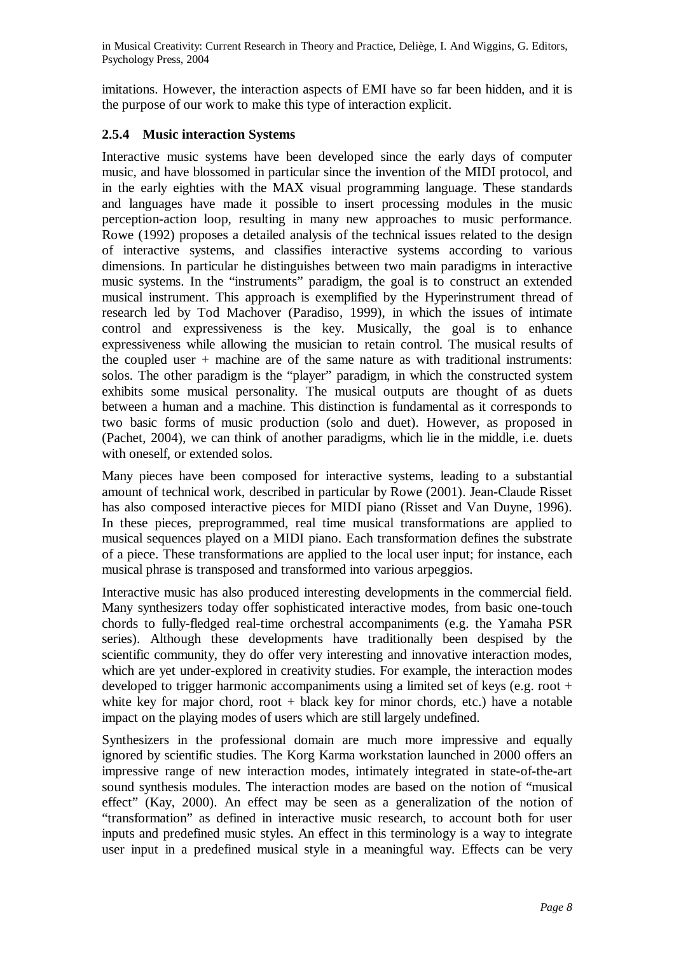imitations. However, the interaction aspects of EMI have so far been hidden, and it is the purpose of our work to make this type of interaction explicit.

#### **2.5.4 Music interaction Systems**

Interactive music systems have been developed since the early days of computer music, and have blossomed in particular since the invention of the MIDI protocol, and in the early eighties with the MAX visual programming language. These standards and languages have made it possible to insert processing modules in the music perception-action loop, resulting in many new approaches to music performance. Rowe (1992) proposes a detailed analysis of the technical issues related to the design of interactive systems, and classifies interactive systems according to various dimensions. In particular he distinguishes between two main paradigms in interactive music systems. In the "instruments" paradigm, the goal is to construct an extended musical instrument. This approach is exemplified by the Hyperinstrument thread of research led by Tod Machover (Paradiso, 1999), in which the issues of intimate control and expressiveness is the key. Musically, the goal is to enhance expressiveness while allowing the musician to retain control. The musical results of the coupled user + machine are of the same nature as with traditional instruments: solos. The other paradigm is the "player" paradigm, in which the constructed system exhibits some musical personality. The musical outputs are thought of as duets between a human and a machine. This distinction is fundamental as it corresponds to two basic forms of music production (solo and duet). However, as proposed in (Pachet, 2004), we can think of another paradigms, which lie in the middle, i.e. duets with oneself, or extended solos.

Many pieces have been composed for interactive systems, leading to a substantial amount of technical work, described in particular by Rowe (2001). Jean-Claude Risset has also composed interactive pieces for MIDI piano (Risset and Van Duyne, 1996). In these pieces, preprogrammed, real time musical transformations are applied to musical sequences played on a MIDI piano. Each transformation defines the substrate of a piece. These transformations are applied to the local user input; for instance, each musical phrase is transposed and transformed into various arpeggios.

Interactive music has also produced interesting developments in the commercial field. Many synthesizers today offer sophisticated interactive modes, from basic one-touch chords to fully-fledged real-time orchestral accompaniments (e.g. the Yamaha PSR series). Although these developments have traditionally been despised by the scientific community, they do offer very interesting and innovative interaction modes, which are yet under-explored in creativity studies. For example, the interaction modes developed to trigger harmonic accompaniments using a limited set of keys (e.g. root  $+$ white key for major chord, root  $+$  black key for minor chords, etc.) have a notable impact on the playing modes of users which are still largely undefined.

Synthesizers in the professional domain are much more impressive and equally ignored by scientific studies. The Korg Karma workstation launched in 2000 offers an impressive range of new interaction modes, intimately integrated in state-of-the-art sound synthesis modules. The interaction modes are based on the notion of "musical effect" (Kay, 2000). An effect may be seen as a generalization of the notion of "transformation" as defined in interactive music research, to account both for user inputs and predefined music styles. An effect in this terminology is a way to integrate user input in a predefined musical style in a meaningful way. Effects can be very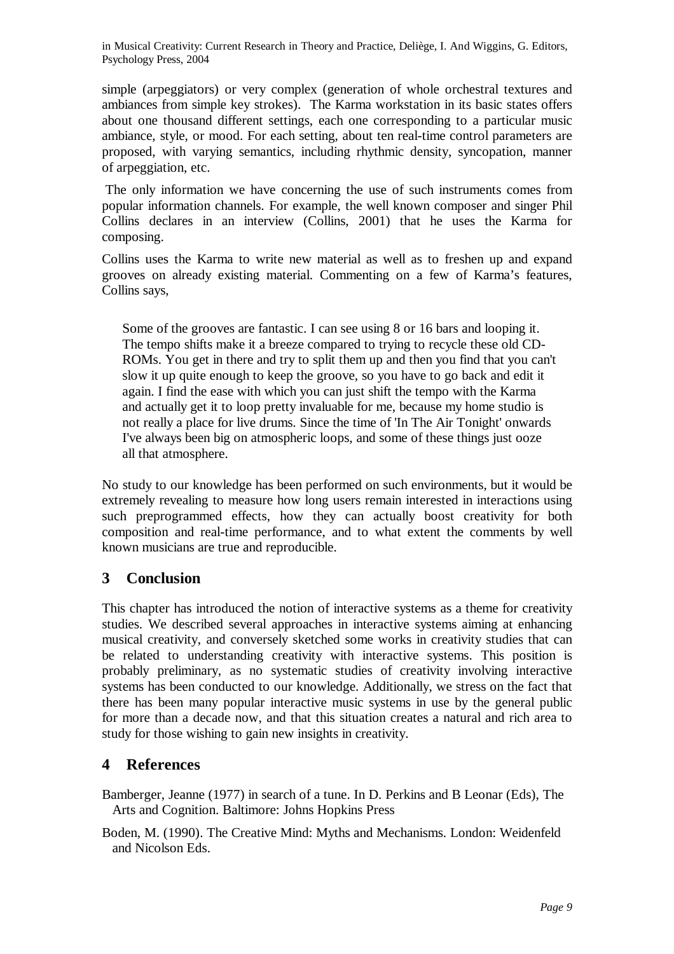simple (arpeggiators) or very complex (generation of whole orchestral textures and ambiances from simple key strokes). The Karma workstation in its basic states offers about one thousand different settings, each one corresponding to a particular music ambiance, style, or mood. For each setting, about ten real-time control parameters are proposed, with varying semantics, including rhythmic density, syncopation, manner of arpeggiation, etc.

 The only information we have concerning the use of such instruments comes from popular information channels. For example, the well known composer and singer Phil Collins declares in an interview (Collins, 2001) that he uses the Karma for composing.

Collins uses the Karma to write new material as well as to freshen up and expand grooves on already existing material. Commenting on a few of Karma's features, Collins says,

Some of the grooves are fantastic. I can see using 8 or 16 bars and looping it. The tempo shifts make it a breeze compared to trying to recycle these old CD-ROMs. You get in there and try to split them up and then you find that you can't slow it up quite enough to keep the groove, so you have to go back and edit it again. I find the ease with which you can just shift the tempo with the Karma and actually get it to loop pretty invaluable for me, because my home studio is not really a place for live drums. Since the time of 'In The Air Tonight' onwards I've always been big on atmospheric loops, and some of these things just ooze all that atmosphere.

No study to our knowledge has been performed on such environments, but it would be extremely revealing to measure how long users remain interested in interactions using such preprogrammed effects, how they can actually boost creativity for both composition and real-time performance, and to what extent the comments by well known musicians are true and reproducible.

## **3 Conclusion**

This chapter has introduced the notion of interactive systems as a theme for creativity studies. We described several approaches in interactive systems aiming at enhancing musical creativity, and conversely sketched some works in creativity studies that can be related to understanding creativity with interactive systems. This position is probably preliminary, as no systematic studies of creativity involving interactive systems has been conducted to our knowledge. Additionally, we stress on the fact that there has been many popular interactive music systems in use by the general public for more than a decade now, and that this situation creates a natural and rich area to study for those wishing to gain new insights in creativity.

## **4 References**

Bamberger, Jeanne (1977) in search of a tune. In D. Perkins and B Leonar (Eds), The Arts and Cognition. Baltimore: Johns Hopkins Press

Boden, M. (1990). The Creative Mind: Myths and Mechanisms. London: Weidenfeld and Nicolson Eds.